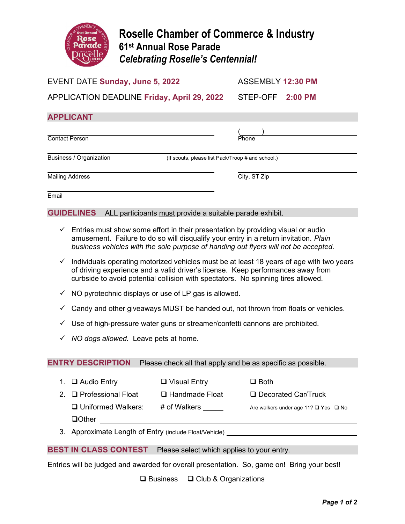

# Roselle Chamber of Commerce & Industry 61st Annual Rose Parade Celebrating Roselle's Centennial!

### EVENT DATE Sunday, June 5, 2022 ASSEMBLY 12:30 PM

APPLICATION DEADLINE Friday, April 29, 2022 STEP-OFF 2:00 PM

## APPLICANT

 $($ Contact Person

Business / Organization (If scouts, please list Pack/Troop # and school.)

Mailing Address **City, ST Zip** 

 Email

GUIDELINES ALL participants must provide a suitable parade exhibit.

- $\checkmark$  Entries must show some effort in their presentation by providing visual or audio amusement. Failure to do so will disqualify your entry in a return invitation. Plain business vehicles with the sole purpose of handing out flyers will not be accepted.
- $\checkmark$  Individuals operating motorized vehicles must be at least 18 years of age with two years of driving experience and a valid driver's license. Keep performances away from curbside to avoid potential collision with spectators. No spinning tires allowed.
- $\checkmark$  NO pyrotechnic displays or use of LP gas is allowed.
- $\checkmark$  Candy and other giveaways MUST be handed out, not thrown from floats or vehicles.
- $\checkmark$  Use of high-pressure water guns or streamer/confetti cannons are prohibited.
- $\checkmark$  NO dogs allowed. Leave pets at home.

ENTRY DESCRIPTION Please check all that apply and be as specific as possible.

1.  $\Box$  Audio Entry  $\Box$  Visual Entry  $\Box$  Both

2. □ Professional Float □ Handmade Float □ Decorated Car/Truck

**□ Uniformed Walkers:** # of Walkers \_\_\_\_\_ Are walkers under age 11? □ Yes □ No

 $\Box$ Other

3. Approximate Length of Entry (include Float/Vehicle)

BEST IN CLASS CONTEST Please select which applies to your entry.

Entries will be judged and awarded for overall presentation. So, game on! Bring your best!

 $\Box$  Business  $\Box$  Club & Organizations